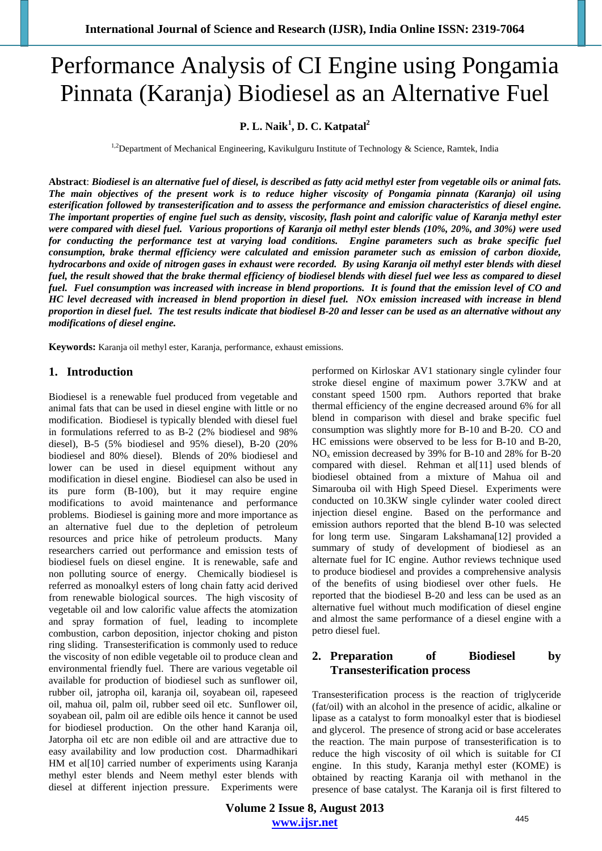# Performance Analysis of CI Engine using Pongamia Pinnata (Karanja) Biodiesel as an Alternative Fuel

# **P. L. Naik<sup>1</sup> , D. C. Katpatal2**

<sup>1,2</sup>Department of Mechanical Engineering, Kavikulguru Institute of Technology & Science, Ramtek, India

**Abstract**: *Biodiesel is an alternative fuel of diesel, is described as fatty acid methyl ester from vegetable oils or animal fats. The main objectives of the present work is to reduce higher viscosity of Pongamia pinnata (Karanja) oil using esterification followed by transesterification and to assess the performance and emission characteristics of diesel engine. The important properties of engine fuel such as density, viscosity, flash point and calorific value of Karanja methyl ester were compared with diesel fuel. Various proportions of Karanja oil methyl ester blends (10%, 20%, and 30%) were used for conducting the performance test at varying load conditions. Engine parameters such as brake specific fuel consumption, brake thermal efficiency were calculated and emission parameter such as emission of carbon dioxide, hydrocarbons and oxide of nitrogen gases in exhaust were recorded. By using Karanja oil methyl ester blends with diesel fuel, the result showed that the brake thermal efficiency of biodiesel blends with diesel fuel wee less as compared to diesel fuel. Fuel consumption was increased with increase in blend proportions. It is found that the emission level of CO and HC level decreased with increased in blend proportion in diesel fuel. NOx emission increased with increase in blend proportion in diesel fuel. The test results indicate that biodiesel B-20 and lesser can be used as an alternative without any modifications of diesel engine.* 

**Keywords:** Karanja oil methyl ester, Karanja, performance, exhaust emissions.

# **1. Introduction**

Biodiesel is a renewable fuel produced from vegetable and animal fats that can be used in diesel engine with little or no modification. Biodiesel is typically blended with diesel fuel in formulations referred to as B-2 (2% biodiesel and 98% diesel), B-5 (5% biodiesel and 95% diesel), B-20 (20% biodiesel and 80% diesel). Blends of 20% biodiesel and lower can be used in diesel equipment without any modification in diesel engine. Biodiesel can also be used in its pure form (B-100), but it may require engine modifications to avoid maintenance and performance problems. Biodiesel is gaining more and more importance as an alternative fuel due to the depletion of petroleum resources and price hike of petroleum products. Many researchers carried out performance and emission tests of biodiesel fuels on diesel engine. It is renewable, safe and non polluting source of energy. Chemically biodiesel is referred as monoalkyl esters of long chain fatty acid derived from renewable biological sources. The high viscosity of vegetable oil and low calorific value affects the atomization and spray formation of fuel, leading to incomplete combustion, carbon deposition, injector choking and piston ring sliding. Transesterification is commonly used to reduce the viscosity of non edible vegetable oil to produce clean and environmental friendly fuel. There are various vegetable oil available for production of biodiesel such as sunflower oil, rubber oil, jatropha oil, karanja oil, soyabean oil, rapeseed oil, mahua oil, palm oil, rubber seed oil etc. Sunflower oil, soyabean oil, palm oil are edible oils hence it cannot be used for biodiesel production. On the other hand Karanja oil, Jatorpha oil etc are non edible oil and are attractive due to easy availability and low production cost. Dharmadhikari HM et al[10] carried number of experiments using Karanja methyl ester blends and Neem methyl ester blends with diesel at different injection pressure. Experiments were performed on Kirloskar AV1 stationary single cylinder four stroke diesel engine of maximum power 3.7KW and at constant speed 1500 rpm. Authors reported that brake thermal efficiency of the engine decreased around 6% for all blend in comparison with diesel and brake specific fuel consumption was slightly more for B-10 and B-20. CO and HC emissions were observed to be less for B-10 and B-20,  $NO<sub>x</sub>$  emission decreased by 39% for B-10 and 28% for B-20 compared with diesel. Rehman et al[11] used blends of biodiesel obtained from a mixture of Mahua oil and Simarouba oil with High Speed Diesel. Experiments were conducted on 10.3KW single cylinder water cooled direct injection diesel engine. Based on the performance and emission authors reported that the blend B-10 was selected for long term use. Singaram Lakshamana[12] provided a summary of study of development of biodiesel as an alternate fuel for IC engine. Author reviews technique used to produce biodiesel and provides a comprehensive analysis of the benefits of using biodiesel over other fuels. He reported that the biodiesel B-20 and less can be used as an alternative fuel without much modification of diesel engine and almost the same performance of a diesel engine with a petro diesel fuel.

# **2. Preparation of Biodiesel by Transesterification process**

Transesterification process is the reaction of triglyceride (fat/oil) with an alcohol in the presence of acidic, alkaline or lipase as a catalyst to form monoalkyl ester that is biodiesel and glycerol. The presence of strong acid or base accelerates the reaction. The main purpose of transesterification is to reduce the high viscosity of oil which is suitable for CI engine. In this study, Karanja methyl ester (KOME) is obtained by reacting Karanja oil with methanol in the presence of base catalyst. The Karanja oil is first filtered to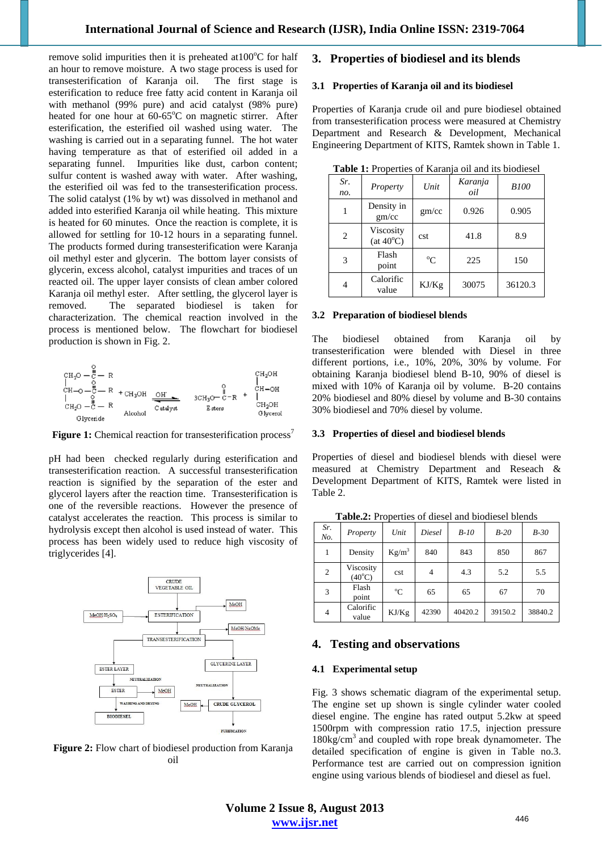remove solid impurities then it is preheated at  $100^{\circ}$ C for half an hour to remove moisture. A two stage process is used for transesterification of Karanja oil. The first stage is esterification to reduce free fatty acid content in Karanja oil with methanol (99% pure) and acid catalyst (98% pure) heated for one hour at 60-65°C on magnetic stirrer. After esterification, the esterified oil washed using water. The washing is carried out in a separating funnel. The hot water having temperature as that of esterified oil added in a separating funnel. Impurities like dust, carbon content; sulfur content is washed away with water. After washing, the esterified oil was fed to the transesterification process. The solid catalyst (1% by wt) was dissolved in methanol and added into esterified Karanja oil while heating. This mixture is heated for 60 minutes. Once the reaction is complete, it is allowed for settling for 10-12 hours in a separating funnel. The products formed during transesterification were Karanja oil methyl ester and glycerin. The bottom layer consists of glycerin, excess alcohol, catalyst impurities and traces of un reacted oil. The upper layer consists of clean amber colored Karanja oil methyl ester. After settling, the glycerol layer is removed. The separated biodiesel is taken for characterization. The chemical reaction involved in the process is mentioned below. The flowchart for biodiesel production is shown in Fig. 2.

**Figure 1:** Chemical reaction for transesterification process<sup>7</sup>

pH had been checked regularly during esterification and transesterification reaction. A successful transesterification reaction is signified by the separation of the ester and glycerol layers after the reaction time. Transesterification is one of the reversible reactions. However the presence of catalyst accelerates the reaction. This process is similar to hydrolysis except then alcohol is used instead of water. This process has been widely used to reduce high viscosity of triglycerides [4].



**Figure 2:** Flow chart of biodiesel production from Karanja oil

# **3. Properties of biodiesel and its blends**

## **3.1 Properties of Karanja oil and its biodiesel**

Properties of Karanja crude oil and pure biodiesel obtained from transesterification process were measured at Chemistry Department and Research & Development, Mechanical Engineering Department of KITS, Ramtek shown in Table 1.

| Sr.<br>no. | Property                        | Karanja<br>Unit<br>oil |       | <b>B100</b> |
|------------|---------------------------------|------------------------|-------|-------------|
|            | Density in<br>gm/cc             | gm/cc                  | 0.926 | 0.905       |
| 2          | Viscosity<br>$(at 40^{\circ}C)$ | cst                    | 41.8  | 8.9         |
| 3          | Flash<br>point                  | $\rm ^{o}C$            | 225   | 150         |
| 4          | Calorific<br>value              | KJ/Kg                  | 30075 | 36120.3     |

**Table 1:** Properties of Karanja oil and its biodiesel

#### **3.2 Preparation of biodiesel blends**

The biodiesel obtained from Karanja oil by transesterification were blended with Diesel in three different portions, i.e., 10%, 20%, 30% by volume. For obtaining Karanja biodiesel blend B-10, 90% of diesel is mixed with 10% of Karanja oil by volume. B-20 contains 20% biodiesel and 80% diesel by volume and B-30 contains 30% biodiesel and 70% diesel by volume.

## **3.3 Properties of diesel and biodiesel blends**

Properties of diesel and biodiesel blends with diesel were measured at Chemistry Department and Reseach & Development Department of KITS, Ramtek were listed in Table 2.

| Sr.<br>No.     | Property                     | Unit     | Diesel | $B-10$  | $B-20$  | $B-30$  |
|----------------|------------------------------|----------|--------|---------|---------|---------|
|                | Density                      | $Kg/m^3$ | 840    | 843     | 850     | 867     |
| 2              | Viscosity<br>$(40^{\circ}C)$ | cst      | 4      | 4.3     | 5.2     | 5.5     |
| 3              | Flash<br>point               | °C       | 65     | 65      | 67      | 70      |
| $\overline{4}$ | Calorific<br>value           | KJ/Kg    | 42390  | 40420.2 | 39150.2 | 38840.2 |

**Table.2:** Properties of diesel and biodiesel blends

## **4. Testing and observations**

## **4.1 Experimental setup**

Fig. 3 shows schematic diagram of the experimental setup. The engine set up shown is single cylinder water cooled diesel engine. The engine has rated output 5.2kw at speed 1500rpm with compression ratio 17.5, injection pressure  $180\text{kg/cm}^3$  and coupled with rope break dynamometer. The detailed specification of engine is given in Table no.3. Performance test are carried out on compression ignition engine using various blends of biodiesel and diesel as fuel.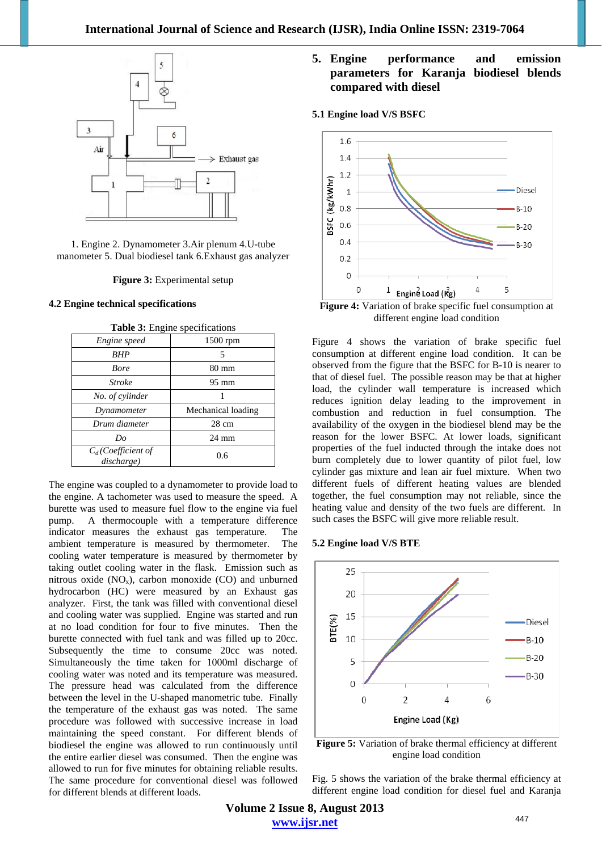

1. Engine 2. Dynamometer 3.Air plenum 4.U-tube manometer 5. Dual biodiesel tank 6.Exhaust gas analyzer

## **Figure 3:** Experimental setup

## **4.2 Engine technical specifications**

| 1500 rpm           |
|--------------------|
| 5                  |
| $80 \text{ mm}$    |
| $95 \text{ mm}$    |
|                    |
| Mechanical loading |
| $28 \text{ cm}$    |
| $24 \text{ mm}$    |
| 0.6                |
|                    |

**Table 3:** Engine specifications

The engine was coupled to a dynamometer to provide load to the engine. A tachometer was used to measure the speed. A burette was used to measure fuel flow to the engine via fuel pump. A thermocouple with a temperature difference indicator measures the exhaust gas temperature. The ambient temperature is measured by thermometer. The cooling water temperature is measured by thermometer by taking outlet cooling water in the flask. Emission such as nitrous oxide  $(NO_x)$ , carbon monoxide  $(CO)$  and unburned hydrocarbon (HC) were measured by an Exhaust gas analyzer. First, the tank was filled with conventional diesel and cooling water was supplied. Engine was started and run at no load condition for four to five minutes. Then the burette connected with fuel tank and was filled up to 20cc. Subsequently the time to consume 20cc was noted. Simultaneously the time taken for 1000ml discharge of cooling water was noted and its temperature was measured. The pressure head was calculated from the difference between the level in the U-shaped manometric tube. Finally the temperature of the exhaust gas was noted. The same procedure was followed with successive increase in load maintaining the speed constant. For different blends of biodiesel the engine was allowed to run continuously until the entire earlier diesel was consumed. Then the engine was allowed to run for five minutes for obtaining reliable results. The same procedure for conventional diesel was followed for different blends at different loads.

# **5. Engine performance and emission parameters for Karanja biodiesel blends compared with diesel**

## **5.1 Engine load V/S BSFC**



**Figure 4:** Variation of brake specific fuel consumption at different engine load condition

Figure 4 shows the variation of brake specific fuel consumption at different engine load condition. It can be observed from the figure that the BSFC for B-10 is nearer to that of diesel fuel. The possible reason may be that at higher load, the cylinder wall temperature is increased which reduces ignition delay leading to the improvement in combustion and reduction in fuel consumption. The availability of the oxygen in the biodiesel blend may be the reason for the lower BSFC. At lower loads, significant properties of the fuel inducted through the intake does not burn completely due to lower quantity of pilot fuel, low cylinder gas mixture and lean air fuel mixture. When two different fuels of different heating values are blended together, the fuel consumption may not reliable, since the heating value and density of the two fuels are different. In such cases the BSFC will give more reliable result.

#### **5.2 Engine load V/S BTE**



**Figure 5:** Variation of brake thermal efficiency at different engine load condition

Fig. 5 shows the variation of the brake thermal efficiency at different engine load condition for diesel fuel and Karanja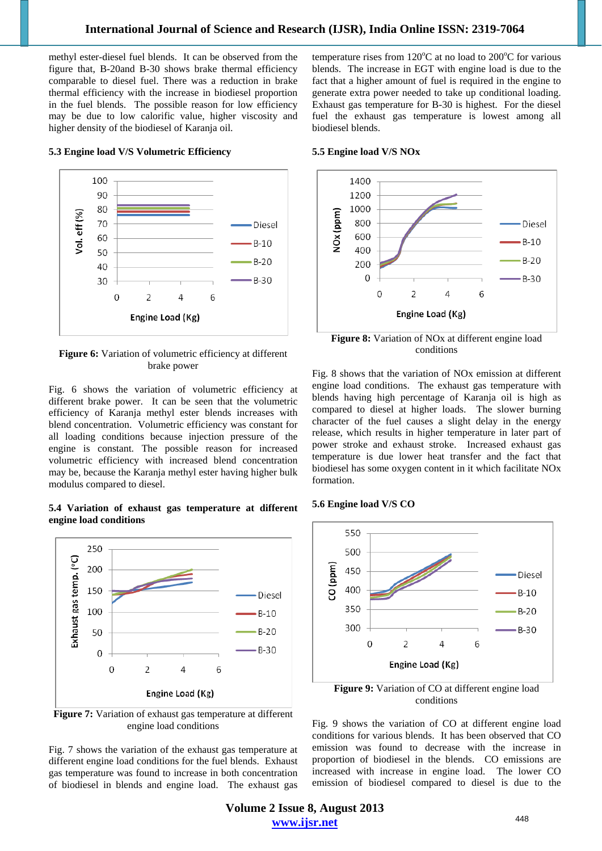methyl ester-diesel fuel blends. It can be observed from the figure that, B-20and B-30 shows brake thermal efficiency comparable to diesel fuel. There was a reduction in brake thermal efficiency with the increase in biodiesel proportion in the fuel blends. The possible reason for low efficiency may be due to low calorific value, higher viscosity and higher density of the biodiesel of Karanja oil.

temperature rises from  $120^{\circ}$ C at no load to  $200^{\circ}$ C for various blends. The increase in EGT with engine load is due to the fact that a higher amount of fuel is required in the engine to generate extra power needed to take up conditional loading. Exhaust gas temperature for B-30 is highest. For the diesel fuel the exhaust gas temperature is lowest among all biodiesel blends.

#### **5.5 Engine load V/S NOx**

## 100 90 80 /ol. eff (%) 70 60  $B-10$ 50  $B-20$

**5.3 Engine load V/S Volumetric Efficiency** 



**Figure 6:** Variation of volumetric efficiency at different brake power

Fig. 6 shows the variation of volumetric efficiency at different brake power. It can be seen that the volumetric efficiency of Karanja methyl ester blends increases with blend concentration. Volumetric efficiency was constant for all loading conditions because injection pressure of the engine is constant. The possible reason for increased volumetric efficiency with increased blend concentration may be, because the Karanja methyl ester having higher bulk modulus compared to diesel.

**5.4 Variation of exhaust gas temperature at different engine load conditions** 



**Figure 7:** Variation of exhaust gas temperature at different engine load conditions

Fig. 7 shows the variation of the exhaust gas temperature at different engine load conditions for the fuel blends. Exhaust gas temperature was found to increase in both concentration of biodiesel in blends and engine load. The exhaust gas



**Figure 8:** Variation of NOx at different engine load conditions

Fig. 8 shows that the variation of NOx emission at different engine load conditions. The exhaust gas temperature with blends having high percentage of Karanja oil is high as compared to diesel at higher loads. The slower burning character of the fuel causes a slight delay in the energy release, which results in higher temperature in later part of power stroke and exhaust stroke. Increased exhaust gas temperature is due lower heat transfer and the fact that biodiesel has some oxygen content in it which facilitate NOx formation.

## **5.6 Engine load V/S CO**



**Figure 9:** Variation of CO at different engine load conditions

Fig. 9 shows the variation of CO at different engine load conditions for various blends. It has been observed that CO emission was found to decrease with the increase in proportion of biodiesel in the blends. CO emissions are increased with increase in engine load. The lower CO emission of biodiesel compared to diesel is due to the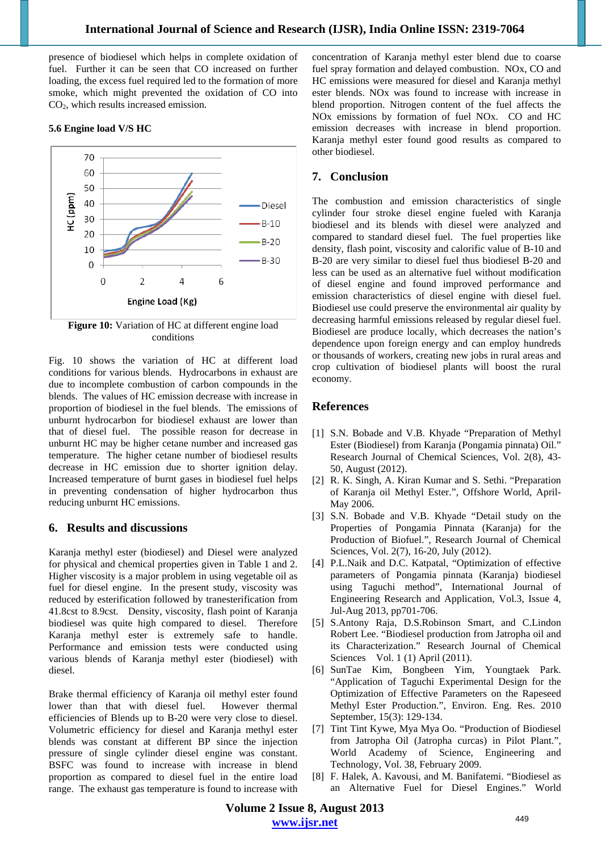presence of biodiesel which helps in complete oxidation of fuel. Further it can be seen that CO increased on further loading, the excess fuel required led to the formation of more smoke, which might prevented the oxidation of CO into CO2, which results increased emission.

# **5.6 Engine load V/S HC**



**Figure 10:** Variation of HC at different engine load conditions

Fig. 10 shows the variation of HC at different load conditions for various blends. Hydrocarbons in exhaust are due to incomplete combustion of carbon compounds in the blends. The values of HC emission decrease with increase in proportion of biodiesel in the fuel blends. The emissions of unburnt hydrocarbon for biodiesel exhaust are lower than that of diesel fuel. The possible reason for decrease in unburnt HC may be higher cetane number and increased gas temperature. The higher cetane number of biodiesel results decrease in HC emission due to shorter ignition delay. Increased temperature of burnt gases in biodiesel fuel helps in preventing condensation of higher hydrocarbon thus reducing unburnt HC emissions.

## **6. Results and discussions**

Karanja methyl ester (biodiesel) and Diesel were analyzed for physical and chemical properties given in Table 1 and 2. Higher viscosity is a major problem in using vegetable oil as fuel for diesel engine. In the present study, viscosity was reduced by esterification followed by tranesterification from 41.8cst to 8.9cst. Density, viscosity, flash point of Karanja biodiesel was quite high compared to diesel. Therefore Karanja methyl ester is extremely safe to handle. Performance and emission tests were conducted using various blends of Karanja methyl ester (biodiesel) with diesel.

Brake thermal efficiency of Karanja oil methyl ester found lower than that with diesel fuel. However thermal efficiencies of Blends up to B-20 were very close to diesel. Volumetric efficiency for diesel and Karanja methyl ester blends was constant at different BP since the injection pressure of single cylinder diesel engine was constant. BSFC was found to increase with increase in blend proportion as compared to diesel fuel in the entire load range. The exhaust gas temperature is found to increase with

concentration of Karanja methyl ester blend due to coarse fuel spray formation and delayed combustion. NOx, CO and HC emissions were measured for diesel and Karanja methyl ester blends. NOx was found to increase with increase in blend proportion. Nitrogen content of the fuel affects the NOx emissions by formation of fuel NOx. CO and HC emission decreases with increase in blend proportion. Karanja methyl ester found good results as compared to other biodiesel.

# **7. Conclusion**

The combustion and emission characteristics of single cylinder four stroke diesel engine fueled with Karanja biodiesel and its blends with diesel were analyzed and compared to standard diesel fuel. The fuel properties like density, flash point, viscosity and calorific value of B-10 and B-20 are very similar to diesel fuel thus biodiesel B-20 and less can be used as an alternative fuel without modification of diesel engine and found improved performance and emission characteristics of diesel engine with diesel fuel. Biodiesel use could preserve the environmental air quality by decreasing harmful emissions released by regular diesel fuel. Biodiesel are produce locally, which decreases the nation's dependence upon foreign energy and can employ hundreds or thousands of workers, creating new jobs in rural areas and crop cultivation of biodiesel plants will boost the rural economy.

# **References**

- [1] S.N. Bobade and V.B. Khyade "Preparation of Methyl Ester (Biodiesel) from Karanja (Pongamia pinnata) Oil." Research Journal of Chemical Sciences, Vol. 2(8), 43- 50, August (2012).
- [2] R. K. Singh, A. Kiran Kumar and S. Sethi. "Preparation of Karanja oil Methyl Ester.", Offshore World, April-May 2006.
- [3] S.N. Bobade and V.B. Khyade "Detail study on the Properties of Pongamia Pinnata (Karanja) for the Production of Biofuel.", Research Journal of Chemical Sciences, Vol. 2(7), 16-20, July (2012).
- [4] P.L.Naik and D.C. Katpatal, "Optimization of effective parameters of Pongamia pinnata (Karanja) biodiesel using Taguchi method", International Journal of Engineering Research and Application, Vol.3, Issue 4, Jul-Aug 2013, pp701-706.
- [5] S.Antony Raja, D.S.Robinson Smart, and C.Lindon Robert Lee. "Biodiesel production from Jatropha oil and its Characterization." Research Journal of Chemical Sciences Vol. 1 (1) April (2011).
- [6] SunTae Kim, Bongbeen Yim, Youngtaek Park. "Application of Taguchi Experimental Design for the Optimization of Effective Parameters on the Rapeseed Methyl Ester Production.", Environ. Eng. Res. 2010 September, 15(3): 129-134.
- [7] Tint Tint Kywe, Mya Mya Oo. "Production of Biodiesel from Jatropha Oil (Jatropha curcas) in Pilot Plant.", World Academy of Science, Engineering and Technology, Vol. 38, February 2009.
- [8] F. Halek, A. Kavousi, and M. Banifatemi. "Biodiesel as an Alternative Fuel for Diesel Engines." World